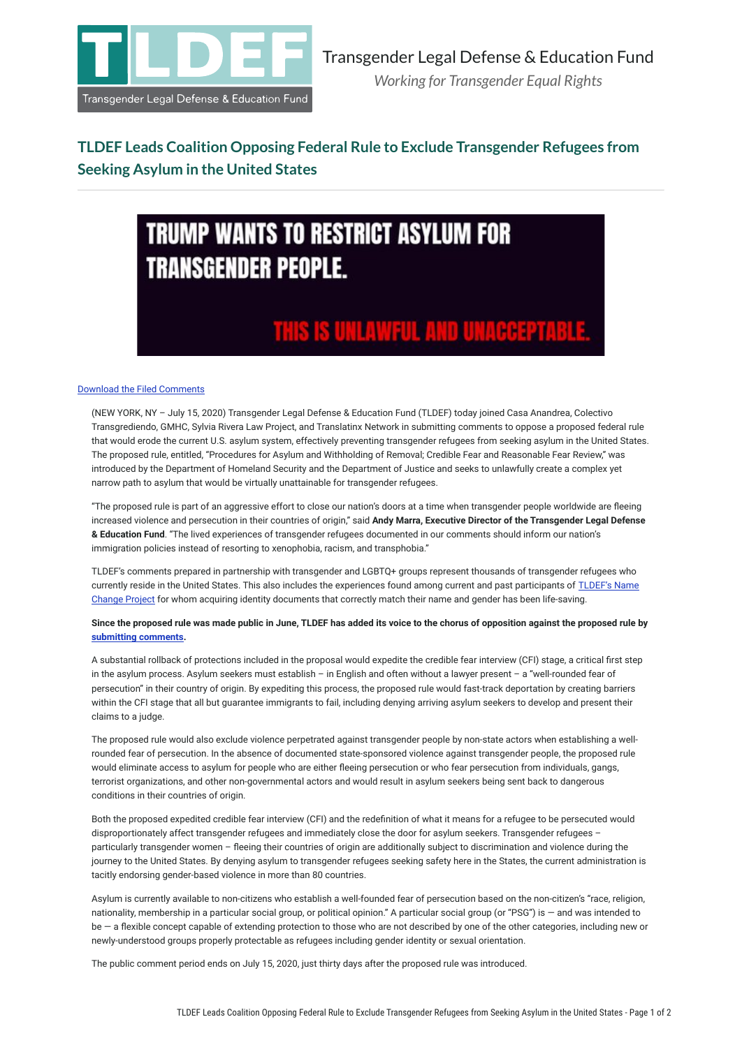

### **TLDEF Leads Coalition Opposing Federal Rule to Exclude Transgender Refugees from Seeking Asylum in the United States**

# **TRUMP WANTS TO RESTRICT ASYLUM FOR TRANSGENDER PEOPLE.**

## THIS IS UNLAWFUL AND UNACCEPTABLE.

#### [Download the Filed Comments](https://tldef.org/media/documents/2020-07-15_Asylum_Comment_Final.pdf)

(NEW YORK, NY – July 15, 2020) Transgender Legal Defense & Education Fund (TLDEF) today joined Casa Anandrea, Colectivo Transgrediendo, GMHC, Sylvia Rivera Law Project, and Translatinx Network in submitting comments to oppose a proposed federal rule that would erode the current U.S. asylum system, effectively preventing transgender refugees from seeking asylum in the United States. The proposed rule, entitled, "Procedures for Asylum and Withholding of Removal; Credible Fear and Reasonable Fear Review," was introduced by the Department of Homeland Security and the Department of Justice and seeks to unlawfully create a complex yet narrow path to asylum that would be virtually unattainable for transgender refugees.

"The proposed rule is part of an aggressive effort to close our nation's doors at a time when transgender people worldwide are fleeing increased violence and persecution in their countries of origin," said **Andy Marra, Executive Director of the Transgender Legal Defense & Education Fund**. "The lived experiences of transgender refugees documented in our comments should inform our nation's immigration policies instead of resorting to xenophobia, racism, and transphobia."

TLDEF's comments prepared in partnership with transgender and LGBTQ+ groups represent thousands of transgender refugees who currently reside in the United States. This also includes the experiences found among current and past participants of [TLDEF's Name](https://tldef.org/our-work/name-change-project/) [Change Project](https://tldef.org/our-work/name-change-project/) for whom acquiring identity documents that correctly match their name and gender has been life-saving.

#### **Since the proposed rule was made public in June, TLDEF has added its voice to the chorus of opposition against the proposed rule by [submitting comments.](https://tldef.org/documents/34/2020-07-15_Asylum_Comment_Final.pdf)**

A substantial rollback of protections included in the proposal would expedite the credible fear interview (CFI) stage, a critical first step in the asylum process. Asylum seekers must establish – in English and often without a lawyer present – a "well-rounded fear of persecution" in their country of origin. By expediting this process, the proposed rule would fast-track deportation by creating barriers within the CFI stage that all but guarantee immigrants to fail, including denying arriving asylum seekers to develop and present their claims to a judge.

The proposed rule would also exclude violence perpetrated against transgender people by non-state actors when establishing a wellrounded fear of persecution. In the absence of documented state-sponsored violence against transgender people, the proposed rule would eliminate access to asylum for people who are either fleeing persecution or who fear persecution from individuals, gangs, terrorist organizations, and other non-governmental actors and would result in asylum seekers being sent back to dangerous conditions in their countries of origin.

Both the proposed expedited credible fear interview (CFI) and the redefinition of what it means for a refugee to be persecuted would disproportionately affect transgender refugees and immediately close the door for asylum seekers. Transgender refugees – particularly transgender women – fleeing their countries of origin are additionally subject to discrimination and violence during the journey to the United States. By denying asylum to transgender refugees seeking safety here in the States, the current administration is tacitly endorsing gender-based violence in more than 80 countries.

Asylum is currently available to non-citizens who establish a well-founded fear of persecution based on the non-citizen's "race, religion, nationality, membership in a particular social group, or political opinion." A particular social group (or "PSG") is — and was intended to be - a flexible concept capable of extending protection to those who are not described by one of the other categories, including new or newly-understood groups properly protectable as refugees including gender identity or sexual orientation.

The public comment period ends on July 15, 2020, just thirty days after the proposed rule was introduced.